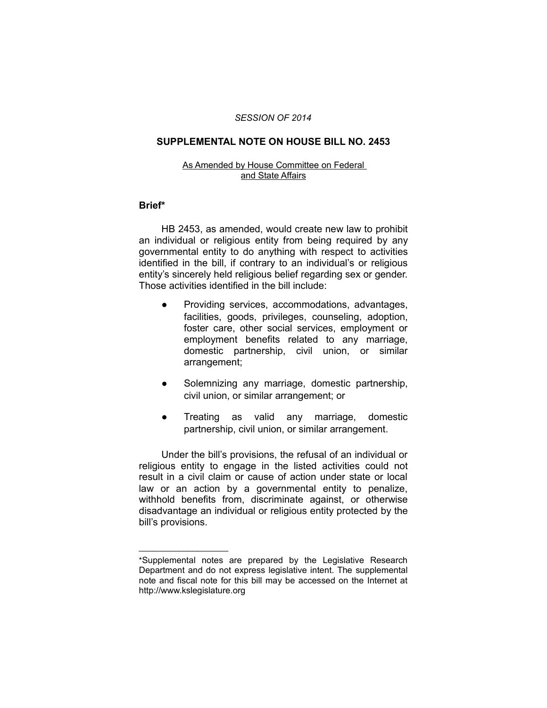#### *SESSION OF 2014*

## **SUPPLEMENTAL NOTE ON HOUSE BILL NO. 2453**

#### As Amended by House Committee on Federal and State Affairs

### **Brief\***

HB 2453, as amended, would create new law to prohibit an individual or religious entity from being required by any governmental entity to do anything with respect to activities identified in the bill, if contrary to an individual's or religious entity's sincerely held religious belief regarding sex or gender. Those activities identified in the bill include:

- Providing services, accommodations, advantages, facilities, goods, privileges, counseling, adoption, foster care, other social services, employment or employment benefits related to any marriage, domestic partnership, civil union, or similar arrangement;
- Solemnizing any marriage, domestic partnership, civil union, or similar arrangement; or
- Treating as valid any marriage, domestic partnership, civil union, or similar arrangement.

Under the bill's provisions, the refusal of an individual or religious entity to engage in the listed activities could not result in a civil claim or cause of action under state or local law or an action by a governmental entity to penalize, withhold benefits from, discriminate against, or otherwise disadvantage an individual or religious entity protected by the bill's provisions.

 $\overline{\phantom{a}}$  , where  $\overline{\phantom{a}}$  , where  $\overline{\phantom{a}}$ 

<sup>\*</sup>Supplemental notes are prepared by the Legislative Research Department and do not express legislative intent. The supplemental note and fiscal note for this bill may be accessed on the Internet at http://www.kslegislature.org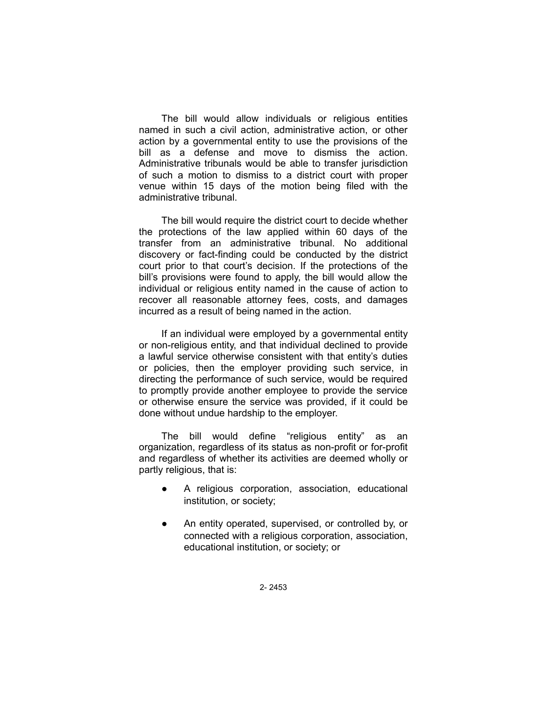The bill would allow individuals or religious entities named in such a civil action, administrative action, or other action by a governmental entity to use the provisions of the bill as a defense and move to dismiss the action. Administrative tribunals would be able to transfer jurisdiction of such a motion to dismiss to a district court with proper venue within 15 days of the motion being filed with the administrative tribunal.

The bill would require the district court to decide whether the protections of the law applied within 60 days of the transfer from an administrative tribunal. No additional discovery or fact-finding could be conducted by the district court prior to that court's decision. If the protections of the bill's provisions were found to apply, the bill would allow the individual or religious entity named in the cause of action to recover all reasonable attorney fees, costs, and damages incurred as a result of being named in the action.

If an individual were employed by a governmental entity or non-religious entity, and that individual declined to provide a lawful service otherwise consistent with that entity's duties or policies, then the employer providing such service, in directing the performance of such service, would be required to promptly provide another employee to provide the service or otherwise ensure the service was provided, if it could be done without undue hardship to the employer.

The bill would define "religious entity" as an organization, regardless of its status as non-profit or for-profit and regardless of whether its activities are deemed wholly or partly religious, that is:

- A religious corporation, association, educational institution, or society;
- An entity operated, supervised, or controlled by, or connected with a religious corporation, association, educational institution, or society; or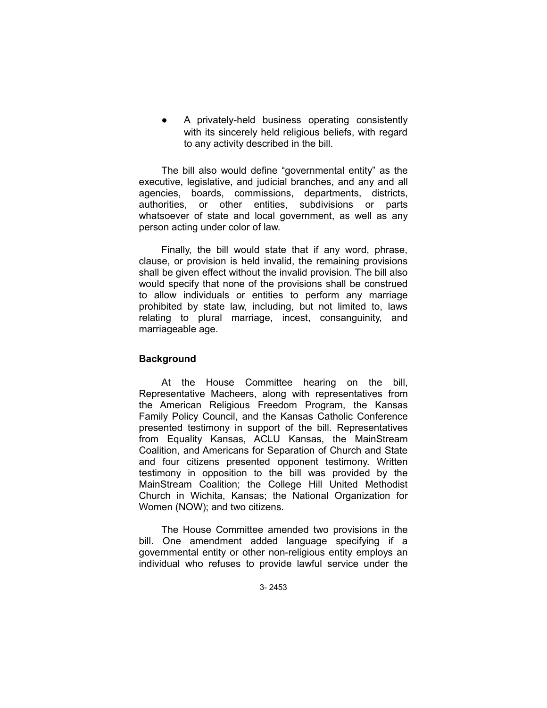A privately-held business operating consistently with its sincerely held religious beliefs, with regard to any activity described in the bill.

The bill also would define "governmental entity" as the executive, legislative, and judicial branches, and any and all agencies, boards, commissions, departments, districts, authorities, or other entities, subdivisions or parts whatsoever of state and local government, as well as any person acting under color of law.

Finally, the bill would state that if any word, phrase, clause, or provision is held invalid, the remaining provisions shall be given effect without the invalid provision. The bill also would specify that none of the provisions shall be construed to allow individuals or entities to perform any marriage prohibited by state law, including, but not limited to, laws relating to plural marriage, incest, consanguinity, and marriageable age.

# **Background**

At the House Committee hearing on the bill, Representative Macheers, along with representatives from the American Religious Freedom Program, the Kansas Family Policy Council, and the Kansas Catholic Conference presented testimony in support of the bill. Representatives from Equality Kansas, ACLU Kansas, the MainStream Coalition, and Americans for Separation of Church and State and four citizens presented opponent testimony. Written testimony in opposition to the bill was provided by the MainStream Coalition; the College Hill United Methodist Church in Wichita, Kansas; the National Organization for Women (NOW); and two citizens.

The House Committee amended two provisions in the bill. One amendment added language specifying if a governmental entity or other non-religious entity employs an individual who refuses to provide lawful service under the